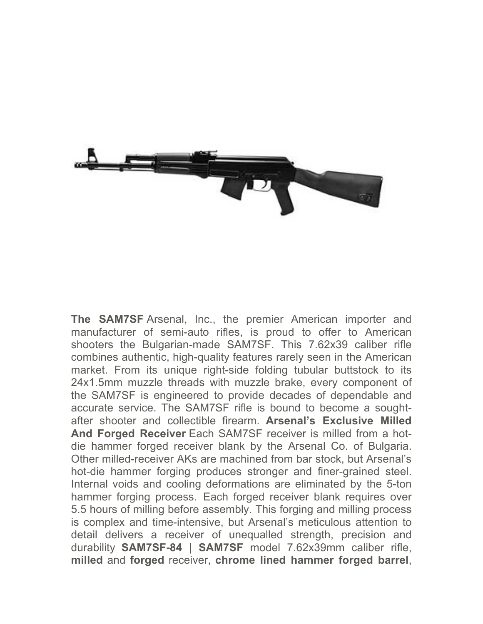

**The SAM7SF** Arsenal, Inc., the premier American importer and manufacturer of semi-auto rifles, is proud to offer to American shooters the Bulgarian-made SAM7SF. This 7.62x39 caliber rifle combines authentic, high-quality features rarely seen in the American market. From its unique right-side folding tubular buttstock to its 24x1.5mm muzzle threads with muzzle brake, every component of the SAM7SF is engineered to provide decades of dependable and accurate service. The SAM7SF rifle is bound to become a soughtafter shooter and collectible firearm. **Arsenal's Exclusive Milled And Forged Receiver** Each SAM7SF receiver is milled from a hotdie hammer forged receiver blank by the Arsenal Co. of Bulgaria. Other milled-receiver AKs are machined from bar stock, but Arsenal's hot-die hammer forging produces stronger and finer-grained steel. Internal voids and cooling deformations are eliminated by the 5-ton hammer forging process. Each forged receiver blank requires over 5.5 hours of milling before assembly. This forging and milling process is complex and time-intensive, but Arsenal's meticulous attention to detail delivers a receiver of unequalled strength, precision and durability **SAM7SF-84** | **SAM7SF** model 7.62x39mm caliber rifle, **milled** and **forged** receiver, **chrome lined hammer forged barrel**,